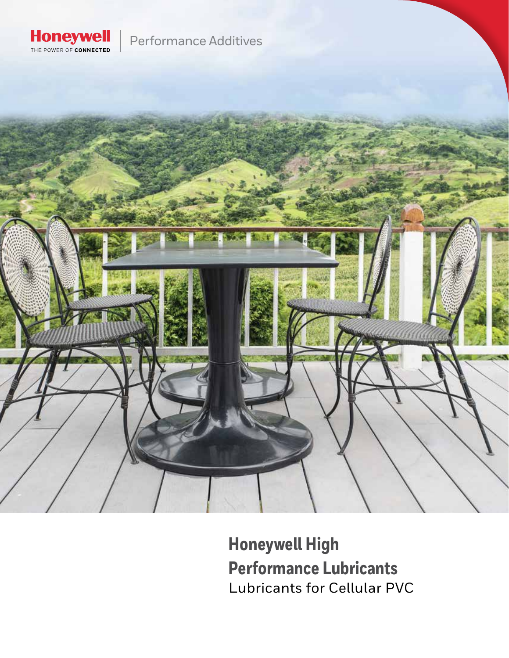

Performance Additives



**Honeywell High Performance Lubricants** Lubricants for Cellular PVC